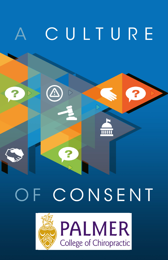

# CONSENT  $F$

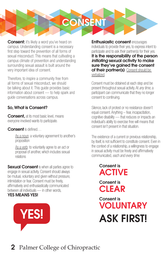

**Consent:** it's likely a word you've heard on campus. Understanding consent is a necessary first step toward the prevention of all forms of sexual misconduct. This means that cultivating a campus climate of prevention and understanding surrounding sexual assault is built around the very important idea of consent.

Therefore, to inspire a community free from all forms of sexual misconduct, we should be talking about it. This guide provides basic information about consent — to help spark and guide conversations across campus.

## So, What is Consent?

**Consent.** at its most basic level, means everyone involved wants to participate.

#### Consent is defined…

As a noun: a voluntary agreement to another's proposition

As a verb: to voluntarily agree to an act or proposal of another, which includes sexual relations

**Sexual Consent** is when all parties agree to engage in sexual activity. Consent should always be mutual, voluntary and given without pressure, intimidation or fear. Consent must be freely, affirmatively and enthusiastically communicated between all individuals — in other words, YES MEANS YES!



**Enthusiastic consent encourages** individuals to provide their yes, to express intent to participate and to ask their partner(s) for their yes. It is the responsibility of the person *initiating* sexual activity to make sure they've aained the consent of their partner(s). Consent should be verbalized.

Consent must be obtained at each step and be present throughout sexual activity. At *any time*, a participant can communicate that they no longer consent to continuing.

Silence, lack of protest or no resistance doesn't equal consent. Anything – fear, incapacitation, cognitive disability — that reduces or impacts an individual's ability to exercise free will means that consent isn't present in that situation.

The existence of a current or previous relationship, by itself, is not sufficient to constitute consent. Even in the context of a relationship, a willingness to engage in sexual activity must be freely and affirmatively communicated, *each and every time.*

# Consent is **ACTIVE**

Consent is **CLEAR** 

Consent is VOLUNTARY ASK FIRST!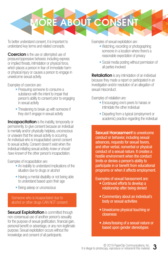

To better understand consent, it is important to understand key terms and related concepts.

Coercion is the use or attempted use of pressure/oppressive behavior, including express or implied threats, intimidation or physical force, which places a person in fear of immediate harm or physical injury or causes a person to engage in unwelcome sexual activity.

Examples of coercion are:

- Pressuring someone to consume a substance with the intent to impair that person's ability to consent prior to engaging in sexual activity
- Threatening to break up with someone if they don't engage in sexual activity

**Incapacitation** is the inability, temporarily or permanently, to give consent because an individual is mentally and/or physically helpless, unconscious or unaware that the sexual activity is occurring. An individual who is incapacitated cannot consent to sexual activity. Consent doesn't exist when the individual initiating sexual activity *knew or should have known* of the other person's incapacitation.

Examples of incapacitation are:

- An inability to understand implications of the situation due to drugs or alcohol
- Having a mental disability or not being able to understand based upon their age
- Being asleep or unconscious

Someone who is incapacitated due to alcohol or other drugs CAN NOT consent.

**Sexual Exploitation** is committed through non-consensual use of another person's sexuality for the purpose of sexual gratification, financial gain, personal benefit or advantage, or any non-legitimate purpose. Sexual exploitation occurs without the knowledge and consent of all participants.

Examples of sexual exploitation are:

- Watching, recording or photographing someone in a location where there's a reasonable expectation of privacy
- Social media posting without permission of all parties involved

**Retaliation** is any intimidation of an individual because they made a report or participated in an investigation and/or resolution of an allegation of sexual misconduct.

Examples of retaliation are:

- Encouraging one's peers to harass or intimidate the other individual
- Departing from a typical (employment or academic) practice regarding the individual

Sexual Harassment is unwelcome conduct or behavior, including sexual advances, requests for sexual favors, and other verbal, nonverbal or physical conduct of a sexual nature. It creates a hostile environment when the conduct limits or denies a person's ability to participate in or benefit from educational programs or when it affects employment.

Examples of sexual harassment are:

- Continued efforts to develop a relationship after being denied
- Commentary about an individual's body or sexual activities
- Unwelcome physical touching or closeness
- Jokes/teasing of a sexual nature or based upon gender stereotypes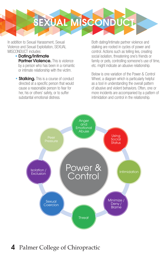

In addition to Sexual Harassment, Sexual Violence and Sexual Exploitation, SEXUAL MISCONDUCT includes:

- Dating/Intimate Partner Violence. This is violence by a person who has been in a romantic or intimate relationship with the victim.
- **Stalking.** This is a course of conduct directed at a specific person that would cause a reasonable person to fear for her, his or others' safety, or to suffer substantial emotional distress.

Both dating/intimate partner violence and stalking are rooted in cycles of power and control. Actions such as telling lies, creating social isolation, threatening one's friends or family or pets, controlling someone's use of time, etc. might indicate an abusive relationship.

Below is one variation of the Power & Control Wheel, a diagram which is particularly helpful as a tool in understanding the overall pattern of abusive and violent behaviors. Often, one or more incidents are accompanied by a pattern of intimidation and control in the relationship.



# 4 Palmer College of Chiropractic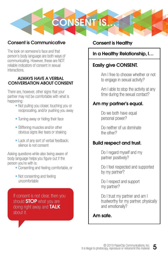

## Consent is Communicative

The look on someone's face and that person's body language are both ways of communicating. However, these are NOT reliable indicators of consent in sexual interactions.

#### ALWAYS HAVE A VERBAL CONVERSATION ABOUT CONSENT

There are, however, other signs that your partner may not be comfortable with what is happening:

- Not pulling you closer, touching you or reciprocating, and/or pushing you away
- Turning away or hiding their face
- Stiffening muscles and/or other obvious signs like tears or shaking
- Lack of any sort of verbal feedback; silence is not consent

Asking questions while also being aware of body language helps you figure out if the person you're with is:

- Consenting and feeling comfortable, or
- Not consenting and feeling uncomfortable

If consent is not clear, then you should **STOP** what you are doing right away and TALK about it.

## Consent is Healthy

## In a Healthy Relationship, I…

## Easily give CONSENT.

Am I free to choose whether or not to engage in sexual activity?

Am I able to stop the activity at any time during the sexual contact?

## Am my partner's equal.

Do we both have equal personal power?

Do neither of us dominate the other?

## Build respect and trust.

Do I regard myself and my partner positively?

Do I feel respected and supported by my partner?

Do I respect and support my partner?

Do I trust my partner and am I trustworthy for my partner, physically and emotionally?

## Am safe.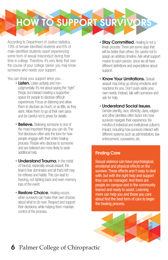HOW TO SUPPORT SURVIVORS

According to Department of Justice statistics, 19% of female-identified students and 6% of male-identified students report experiencing some form of sexual misconduct during their time in college. Therefore, it's very likely that over the course of your college career, you may know someone who needs your support.

You can show your support when you…

- **Listen.** Listen actively and nonjudgmentally. It's not about saving the "right" things, but instead creating a supportive space for people to disclose difficult experiences. Focus on listening and allow them to disclose as much, or as little, as they want. Allow them to go at their own pace and be careful not to press for details.
- **Believe.** Believing someone is one of the most important things you can do. The first disclosure often sets the tone for how people engage with their entire healing process. People who disclose to someone and are believed are more likely to seek additional help.
- **Understand Trauma.** In the midst of trauma, especially sexual assault, the brain's fear dominates and all that's left may be reflexes and habits. This can lead to freezing, not fighting back and even memory loss of the event.
- **Restore Choice. Healing occurs** when survivors can make their own choices about what to do next. Respect and support their decisions, while helping them maintain control of the process.
- **Stay Committed. Healing is not a** linear process. There are some days that will be better than others. Be careful not to assign an arbitrary timeline. Ask what support means to each person, since we all have different definitions and expectations about support.
- **Know Your Limitations**. Sexual assault may bring up strong emotions and reactions for you. Don't push aside your own needs. Instead, talk with someone and ask for help.
- Understand Social Issues. Gender identity, race, ethnicity, class, religion and other identities often factor into how survivors navigate their experience. Be mindful of individual and institutional culture's impact, including how survivors interact with different systems such as administrators, law enforcement, counselors, etc.

## Finding Care

Sexual violence can have psychological, emotional and physical effects on the survivor. These effects aren't easy to deal with, but with the right help and support they can be managed. And there are people on campus and in the community trained and ready to assist. Learning more can help you and those you care about find the best form of care to begin the healing process.

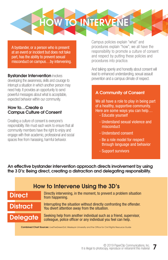

A bystander, or a person who is present at an event or incident but does not take part, has the ability to prevent sexual misconduct on campus…by intervening.

#### **Bystander Intervention involves**

developing the awareness, skills and courage to interrupt a situation in which another person may need help. It provides an opportunity to send powerful messages about what is acceptable, expected behavior within our community.

#### How to…Create a Campus Culture of Consent

Creating a culture of consent is everyone's responsibility. We must each work to ensure that all community members have the right to enjoy and engage with their academic, professional and social spaces free from harassing, harmful behavior.

Campus policies explain "what" and procedures explain "how"; we all have the responsibility to promote a culture of consent and respect by putting these policies and procedures into practice.

And talking openly and honestly about consent will lead to enhanced understanding, sexual assault prevention and a campus climate of respect.

#### A Community of Consent

We all have a role to play in being part of a healthy, supportive community. Here are some ways you can help…

- Educate yourself
- Understand sexual violence and misconduct
- Understand consent
- Be a role model for respect through language and behavior
- Support survivors

An effective bystander intervention approach directs involvement by using the 3 D's: Being direct, creating a distraction and delegating responsibility.

| How to Intervene Using the 3D's                                                                                    |                                                                                                                                      |
|--------------------------------------------------------------------------------------------------------------------|--------------------------------------------------------------------------------------------------------------------------------------|
| <b>Direct</b>                                                                                                      | Directly intervening, in the moment, to prevent a problem situation<br>from happening.                                               |
| Distract                                                                                                           | Interrupting the situation without directly confronting the offender.<br>You divert attention away from the situation.               |
| <b>Delegate</b>                                                                                                    | Seeking help from another individual such as a friend, supervisor,<br>colleague, police officer or any individual you feel can help. |
| <b>Combined Chart Sources:</b> LiveTheGreenDot, Weslevan University and the Office for Civil Rights Resource Guide |                                                                                                                                      |